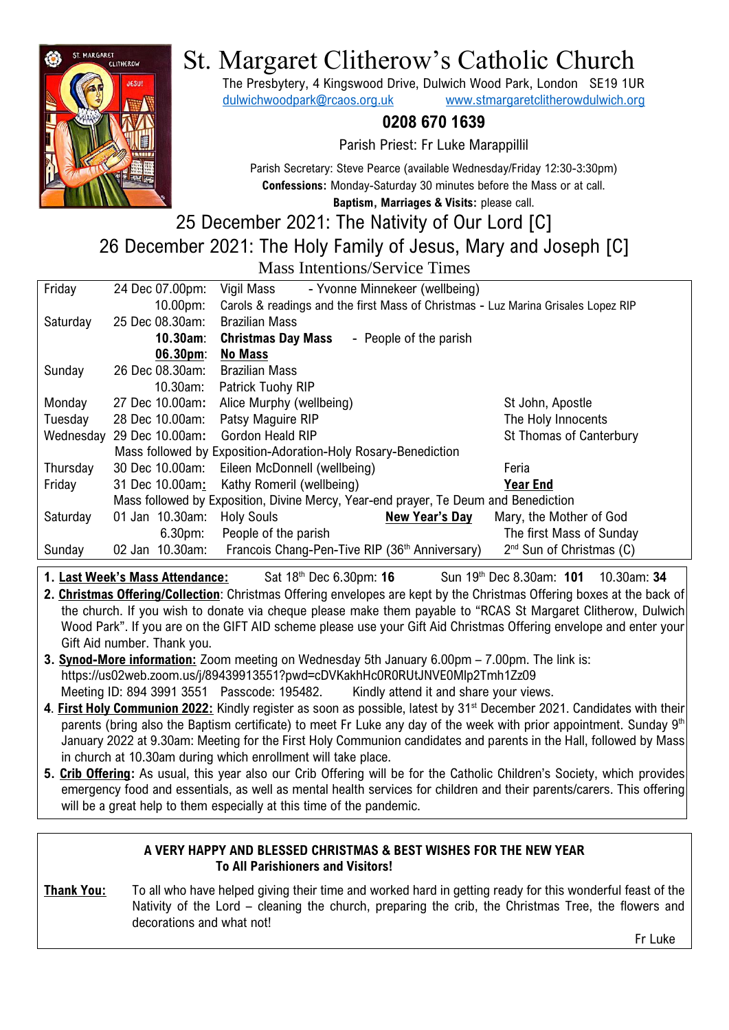

# St. Margaret Clitherow's Catholic Church

The Presbytery, 4 Kingswood Drive, Dulwich Wood Park, London SE19 1UR [dulwichwoodpark@rcaos.org.uk](mailto:dulwichwoodpark@rcaos.org.uk) [www.stmargaretclitherowdulwich.org](http://www.stmargaretclitherowdulwich.org/)

# **0208 670 1639**

Parish Priest: Fr Luke Marappillil

Parish Secretary: Steve Pearce (available Wednesday/Friday 12:30-3:30pm) **Confessions:** Monday-Saturday 30 minutes before the Mass or at call.

**Baptism, Marriages & Visits:** please call.

# 25 December 2021: The Nativity of Our Lord [C] 26 December 2021: The Holy Family of Jesus, Mary and Joseph [C] Mass Intentions/Service Times

| Friday   | 24 Dec 07.00pm:                                                                     | Vigil Mass<br>- Yvonne Minnekeer (wellbeing)                                      |                                      |
|----------|-------------------------------------------------------------------------------------|-----------------------------------------------------------------------------------|--------------------------------------|
|          | 10.00 <sub>pm</sub>                                                                 | Carols & readings and the first Mass of Christmas - Luz Marina Grisales Lopez RIP |                                      |
| Saturday | 25 Dec 08.30am:                                                                     | <b>Brazilian Mass</b>                                                             |                                      |
|          | $10.30$ am:                                                                         | <b>Christmas Day Mass</b><br>- People of the parish                               |                                      |
|          | 06.30 <sub>pm</sub>                                                                 | <b>No Mass</b>                                                                    |                                      |
| Sunday   | 26 Dec 08.30am:                                                                     | <b>Brazilian Mass</b>                                                             |                                      |
|          | 10.30am:                                                                            | Patrick Tuohy RIP                                                                 |                                      |
| Monday   | 27 Dec 10.00am:                                                                     | Alice Murphy (wellbeing)                                                          | St John, Apostle                     |
| Tuesday  | 28 Dec 10.00am:                                                                     | Patsy Maguire RIP                                                                 | The Holy Innocents                   |
|          | Wednesday 29 Dec 10.00am:                                                           | Gordon Heald RIP                                                                  | St Thomas of Canterbury              |
|          | Mass followed by Exposition-Adoration-Holy Rosary-Benediction                       |                                                                                   |                                      |
| Thursday | 30 Dec 10.00am:                                                                     | Eileen McDonnell (wellbeing)                                                      | Feria                                |
| Friday   | 31 Dec 10.00am:                                                                     | Kathy Romeril (wellbeing)                                                         | <b>Year End</b>                      |
|          | Mass followed by Exposition, Divine Mercy, Year-end prayer, Te Deum and Benediction |                                                                                   |                                      |
| Saturday | 01 Jan 10.30am:                                                                     | <b>Holy Souls</b><br><b>New Year's Day</b>                                        | Mary, the Mother of God              |
|          | $6.30pm$ :                                                                          | People of the parish                                                              | The first Mass of Sunday             |
| Sunday   | 02 Jan 10.30am:                                                                     | Francois Chang-Pen-Tive RIP (36 <sup>th</sup> Anniversary)                        | 2 <sup>nd</sup> Sun of Christmas (C) |
|          |                                                                                     |                                                                                   |                                      |

**1. Last Week's Mass Attendance:** Sat 18<sup>th</sup> Dec 6.30pm: 16 th Dec 8.30am: **101** 10.30am: **34**

**2. Christmas Offering/Collection**: Christmas Offering envelopes are kept by the Christmas Offering boxes at the back of the church. If you wish to donate via cheque please make them payable to "RCAS St Margaret Clitherow, Dulwich Wood Park". If you are on the GIFT AID scheme please use your Gift Aid Christmas Offering envelope and enter your Gift Aid number. Thank you.

- **3. Synod-More information:** Zoom meeting on Wednesday 5th January 6.00pm 7.00pm. The link is: https://us02web.zoom.us/j/89439913551?pwd=cDVKakhHc0R0RUtJNVE0Mlp2Tmh1Zz09 Meeting ID: 894 3991 3551 Passcode: 195482. Kindly attend it and share your views.
- 4. First Holy Communion 2022: Kindly register as soon as possible, latest by 31<sup>st</sup> December 2021. Candidates with their parents (bring also the Baptism certificate) to meet Fr Luke any day of the week with prior appointment. Sunday  $9<sup>th</sup>$ January 2022 at 9.30am: Meeting for the First Holy Communion candidates and parents in the Hall, followed by Mass in church at 10.30am during which enrollment will take place.
- **5. Crib Offering:** As usual, this year also our Crib Offering will be for the Catholic Children's Society, which provides emergency food and essentials, as well as mental health services for children and their parents/carers. This offering will be a great help to them especially at this time of the pandemic.

# **A VERY HAPPY AND BLESSED CHRISTMAS & BEST WISHES FOR THE NEW YEAR To All Parishioners and Visitors!**

**Thank You:** To all who have helped giving their time and worked hard in getting ready for this wonderful feast of the Nativity of the Lord – cleaning the church, preparing the crib, the Christmas Tree, the flowers and decorations and what not! Fr Luke